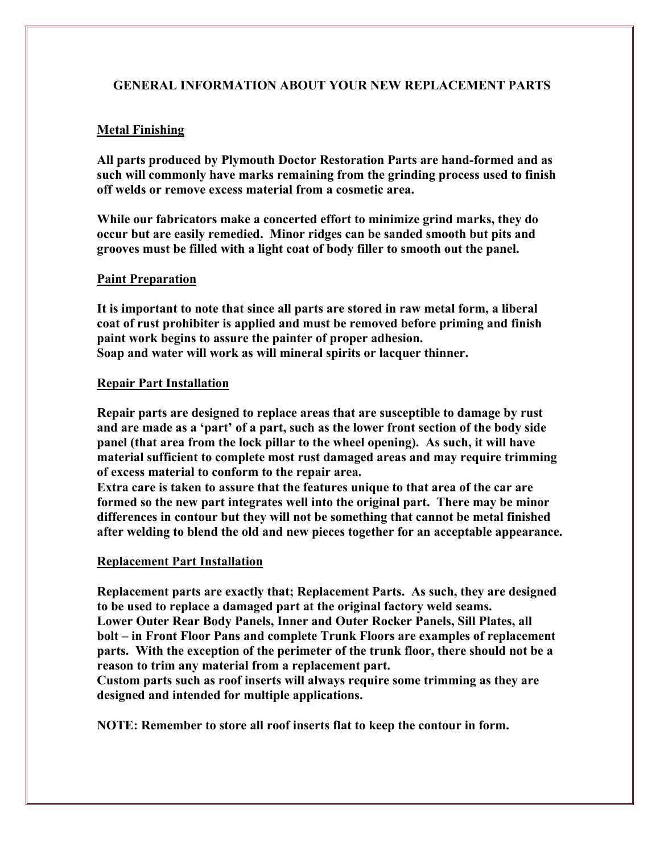## **GENERAL INFORMATION ABOUT YOUR NEW REPLACEMENT PARTS**

### **Metal Finishing**

**All parts produced by Plymouth Doctor Restoration Parts are hand-formed and as such will commonly have marks remaining from the grinding process used to finish off welds or remove excess material from a cosmetic area.** 

**While our fabricators make a concerted effort to minimize grind marks, they do occur but are easily remedied. Minor ridges can be sanded smooth but pits and grooves must be filled with a light coat of body filler to smooth out the panel.** 

#### **Paint Preparation**

**It is important to note that since all parts are stored in raw metal form, a liberal coat of rust prohibiter is applied and must be removed before priming and finish paint work begins to assure the painter of proper adhesion. Soap and water will work as will mineral spirits or lacquer thinner.** 

#### **Repair Part Installation**

**Repair parts are designed to replace areas that are susceptible to damage by rust and are made as a 'part' of a part, such as the lower front section of the body side panel (that area from the lock pillar to the wheel opening). As such, it will have material sufficient to complete most rust damaged areas and may require trimming of excess material to conform to the repair area.** 

**Extra care is taken to assure that the features unique to that area of the car are formed so the new part integrates well into the original part. There may be minor differences in contour but they will not be something that cannot be metal finished after welding to blend the old and new pieces together for an acceptable appearance.** 

#### **Replacement Part Installation**

**Replacement parts are exactly that; Replacement Parts. As such, they are designed to be used to replace a damaged part at the original factory weld seams. Lower Outer Rear Body Panels, Inner and Outer Rocker Panels, Sill Plates, all bolt – in Front Floor Pans and complete Trunk Floors are examples of replacement parts. With the exception of the perimeter of the trunk floor, there should not be a reason to trim any material from a replacement part.** 

**Custom parts such as roof inserts will always require some trimming as they are designed and intended for multiple applications.** 

**NOTE: Remember to store all roof inserts flat to keep the contour in form.**